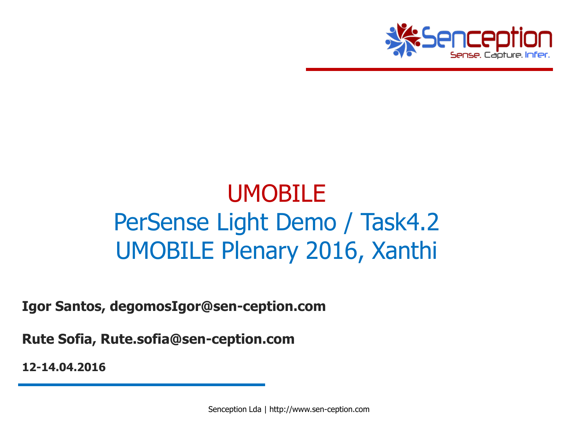

### UMOBILE PerSense Light Demo / Task4.2 UMOBILE Plenary 2016, Xanthi

**Igor Santos, degomosIgor@sen-ception.com**

**Rute Sofia, Rute.sofia@sen-ception.com**

**12-14.04.2016**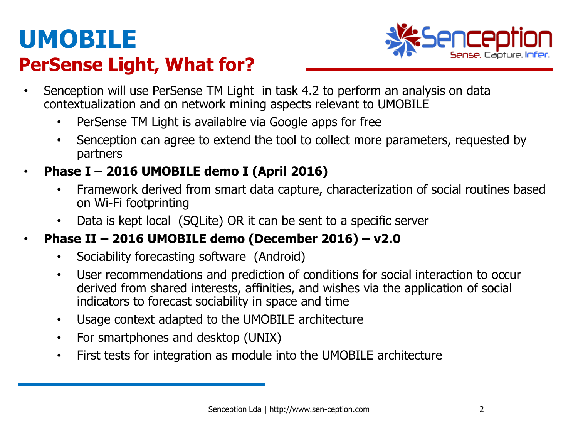### **UMOBILE PerSense Light, What for?**



- Senception will use PerSense TM Light in task 4.2 to perform an analysis on data contextualization and on network mining aspects relevant to UMOBILE
	- PerSense TM Light is availablre via Google apps for free
	- Senception can agree to extend the tool to collect more parameters, requested by partners
- **Phase I – 2016 UMOBILE demo I (April 2016)** 
	- Framework derived from smart data capture, characterization of social routines based on Wi-Fi footprinting
	- Data is kept local (SQLite) OR it can be sent to a specific server
- **Phase II – 2016 UMOBILE demo (December 2016) – v2.0**
	- Sociability forecasting software (Android)
	- User recommendations and prediction of conditions for social interaction to occur derived from shared interests, affinities, and wishes via the application of social indicators to forecast sociability in space and time
	- Usage context adapted to the UMOBILE architecture
	- For smartphones and desktop (UNIX)
	- First tests for integration as module into the UMOBILE architecture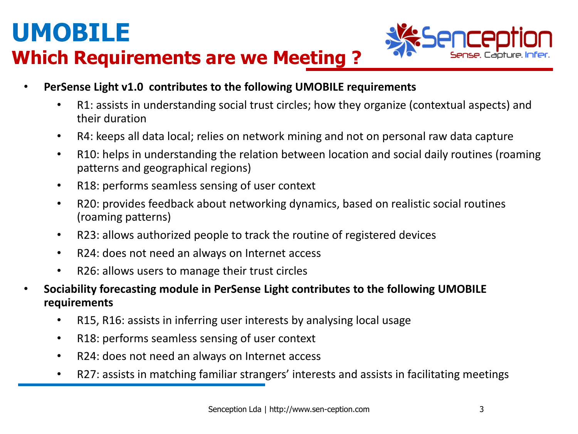#### **Which Requirements are we Meeting ?**



- **PerSense Light v1.0 contributes to the following UMOBILE requirements**
	- R1: assists in understanding social trust circles; how they organize (contextual aspects) and their duration
	- R4: keeps all data local; relies on network mining and not on personal raw data capture
	- R10: helps in understanding the relation between location and social daily routines (roaming patterns and geographical regions)
	- R18: performs seamless sensing of user context
	- R20: provides feedback about networking dynamics, based on realistic social routines (roaming patterns)
	- R23: allows authorized people to track the routine of registered devices
	- R24: does not need an always on Internet access
	- R26: allows users to manage their trust circles
- **Sociability forecasting module in PerSense Light contributes to the following UMOBILE requirements**
	- R15, R16: assists in inferring user interests by analysing local usage
	- R18: performs seamless sensing of user context
	- R24: does not need an always on Internet access
	- R27: assists in matching familiar strangers' interests and assists in facilitating meetings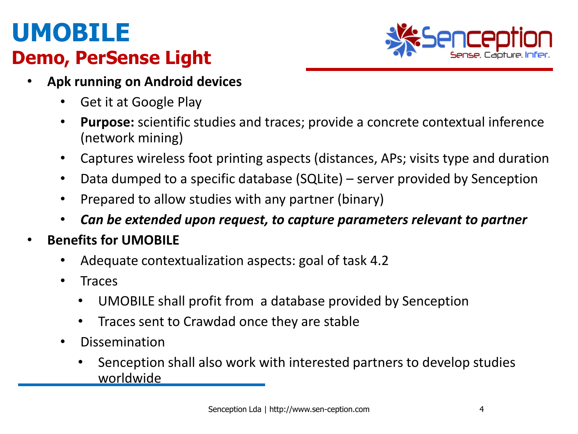#### **Demo, PerSense Light**



- **Apk running on Android devices**
	- Get it at Google Play
	- **Purpose:** scientific studies and traces; provide a concrete contextual inference (network mining)
	- Captures wireless foot printing aspects (distances, APs; visits type and duration
	- Data dumped to a specific database (SQLite) server provided by Senception
	- Prepared to allow studies with any partner (binary)
	- *Can be extended upon request, to capture parameters relevant to partner*
- **Benefits for UMOBILE**
	- Adequate contextualization aspects: goal of task 4.2
	- Traces
		- UMOBILE shall profit from a database provided by Senception
		- Traces sent to Crawdad once they are stable
	- **Dissemination** 
		- Senception shall also work with interested partners to develop studies worldwide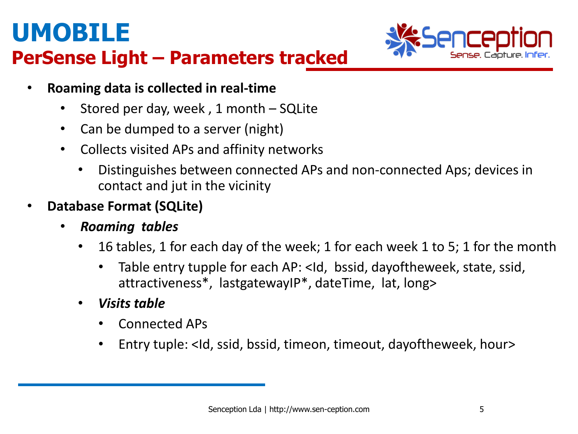

- **PerSense Light – Parameters tracked**
	- **Roaming data is collected in real-time**
		- Stored per day, week, 1 month SQLite
		- Can be dumped to a server (night)
		- Collects visited APs and affinity networks
			- Distinguishes between connected APs and non-connected Aps; devices in contact and jut in the vicinity
	- **Database Format (SQLite)**
		- *Roaming tables*
			- 16 tables, 1 for each day of the week; 1 for each week 1 to 5; 1 for the month
				- Table entry tupple for each AP: <Id, bssid, dayoftheweek, state, ssid, attractiveness\*, lastgatewayIP\*, dateTime, lat, long>
			- *Visits table*
				- Connected APs
				- Entry tuple: <Id, ssid, bssid, timeon, timeout, dayoftheweek, hour>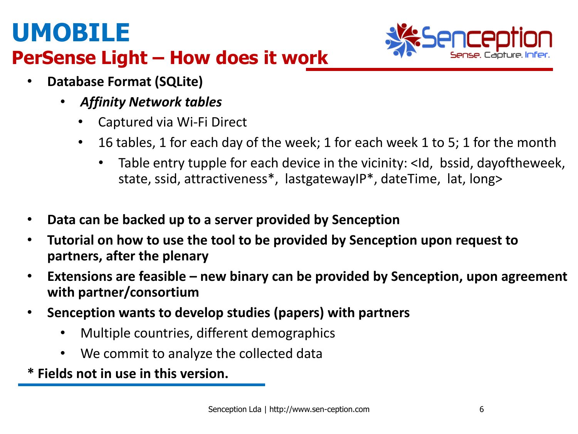

#### **PerSense Light – How does it work**

- **Database Format (SQLite)**
	- *Affinity Network tables*
		- Captured via Wi-Fi Direct
		- 16 tables, 1 for each day of the week; 1 for each week 1 to 5; 1 for the month
			- Table entry tupple for each device in the vicinity: <Id, bssid, dayoftheweek, state, ssid, attractiveness\*, lastgatewayIP\*, dateTime, lat, long>
- **Data can be backed up to a server provided by Senception**
- **Tutorial on how to use the tool to be provided by Senception upon request to partners, after the plenary**
- **Extensions are feasible – new binary can be provided by Senception, upon agreement with partner/consortium**
- **Senception wants to develop studies (papers) with partners**
	- Multiple countries, different demographics
	- We commit to analyze the collected data

**\* Fields not in use in this version.**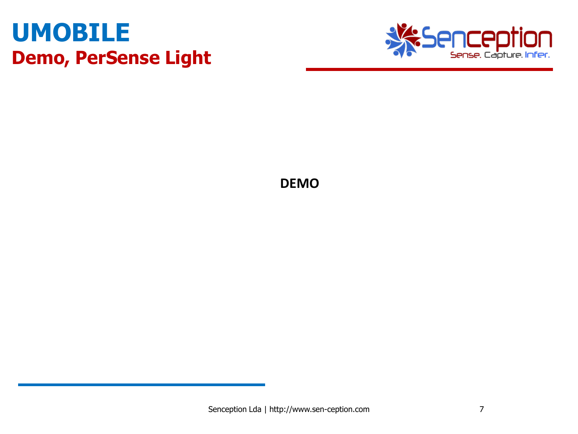### **UMOBILE Demo, PerSense Light**



**DEMO**